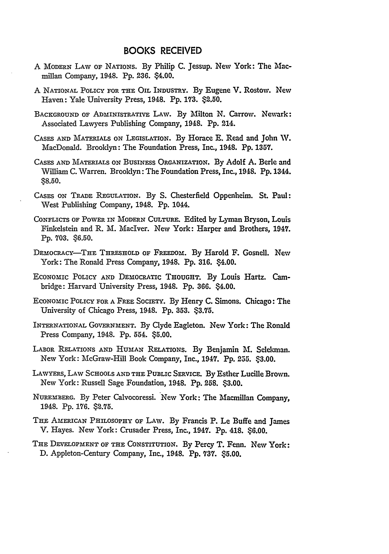- A MODERN LAW OF NATIONS. By Philip **C.** Jessup. New York: The Macmillan Company, 1948. **Pp. 236.** \$4.00.
- A NATIONAL POLICY FOR THE OIL INDUSTRY. By Eugene V. Rostow. New Haven: Yale University Press, 1948. **Pp. 173.** \$2.50.
- **BACKGROUND** OF ADMINISTRATIVE LAW. **By** Milton **N.** Carrow. Newark: Associated Lawyers Publishing Company, 1948. **Pp.** 214.
- **CASES** AND MATERIALS **ON** LEGISLATION. **By** Horace **E.** Read and John **W.** MacDonald. Brooklyn: The Foundation Press, Inc., 1948. **Pp. 1357.**
- **CASES AND** MATERIALS **ON** BUSINESS ORGANIZATION. **By** Adolf **A.** Berle and William **C.** Warren. Brooklyn: The Foundation Press, Inc., 1948. **Pp.** 1344. **\$8.50.**
- **CASES** ON **T.ADE** REGULATION. By **S.** Chesterfield Oppenheim. St. Paul: West Publishing Company, 1948. **Pp.** 1044.
- CONFLICTS OF POWER **IN** MODERN **CULTURE.** Edited by Lyman Bryson, Louis Finkelstein and R. M. Maclver. New York: Harper and Brothers, 1947. **Pp. 703. \$6.50.**
- DEmOCRACY-THE THRESHOLD OF FREEDOM. By Harold F. Gosneil. New York: The Ronald Press Company, 1948. **Pp. 316.** \$4.00.
- ECONOMIC POLICY AND DEMOCRATIC **THOUGHT.** By Louis Hartz. Cambridge: Harvard University Press, 1948. Pp. **366.** \$4.00.
- ECONOMIC POLICY FOR A FREE SoCIETY. By Henry **C.** Sinons. Chicago: The University of Chicago Press, 1948. **Pp. 353. \$3.75.**
- INTERNATIONAL GOVERNMENT. **By** Clyde Eagleton. New York: The Ronald Press Company, 1948. Pp. 554. \$5.00.
- LABOR RELATIONS AND HUMAN RELATIONS. By Benjamin **M.** Selekman. New York: McGraw-Hill Book Company, Inc., 1947. Pp. 255. \$3.00.
- LAWYERS, LAW SCHOOLS AND THE PUBLIC SERvIcE. By Esther Lucille Brown. New York: Russell Sage Foundation, 1948. **Pp. 258. \$3.00.**
- NUREMBERG. By Peter Calvocoressi. New York: The Macmillan Company, 1948. **Pp. 176. \$2.75.**
- THE AMERICAN PHILOSOPHY OF LAW. By Francis P. Le Buffe and James V. Hayes. New York: Crusader Press, Inc., 1947. **Pp.** 418. \$6.00.
- THE **DEVELOPMENT** OF THE CONSTITUTION. **By** Percy T. Fenn. New York: D. Appleton-Century Company, Inc., 1948. **Pp. 737.** \$5.00.